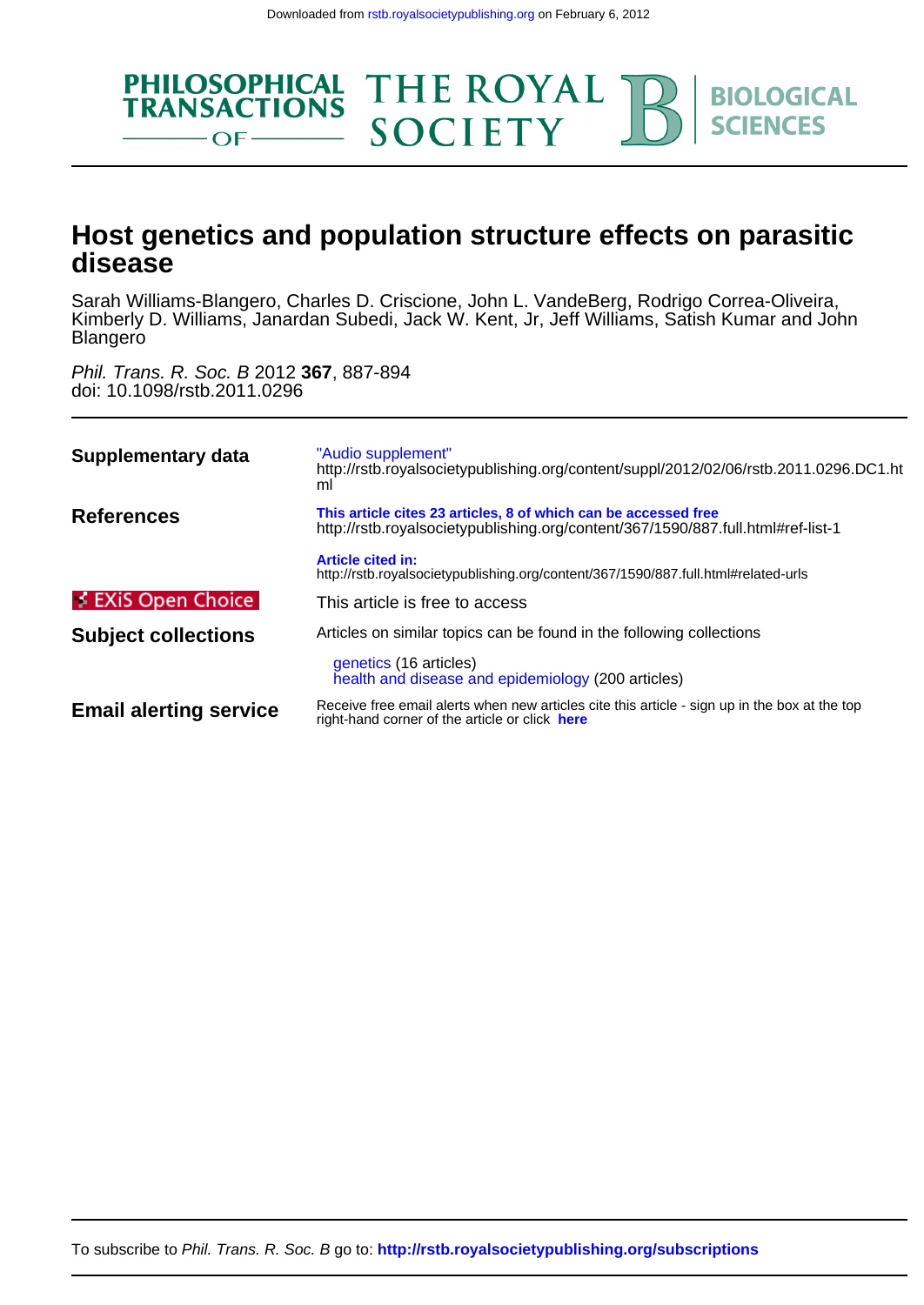

# **disease Host genetics and population structure effects on parasitic**

**Blangero** Kimberly D. Williams, Janardan Subedi, Jack W. Kent, Jr, Jeff Williams, Satish Kumar and John Sarah Williams-Blangero, Charles D. Criscione, John L. VandeBerg, Rodrigo Correa-Oliveira,

doi: 10.1098/rstb.2011.0296 Phil. Trans. R. Soc. B 2012 **367**, 887-894

| <b>Supplementary data</b>     | "Audio supplement"<br>http://rstb.royalsocietypublishing.org/content/suppl/2012/02/06/rstb.2011.0296.DC1.ht<br>ml                                   |
|-------------------------------|-----------------------------------------------------------------------------------------------------------------------------------------------------|
| <b>References</b>             | This article cites 23 articles, 8 of which can be accessed free<br>http://rstb.royalsocietypublishing.org/content/367/1590/887.full.html#ref-list-1 |
|                               | <b>Article cited in:</b><br>http://rstb.royalsocietypublishing.org/content/367/1590/887.full.html#related-urls                                      |
| $\neq$ EXiS Open Choice       | This article is free to access                                                                                                                      |
| <b>Subject collections</b>    | Articles on similar topics can be found in the following collections                                                                                |
|                               | genetics (16 articles)<br>health and disease and epidemiology (200 articles)                                                                        |
| <b>Email alerting service</b> | Receive free email alerts when new articles cite this article - sign up in the box at the top<br>right-hand corner of the article or click here     |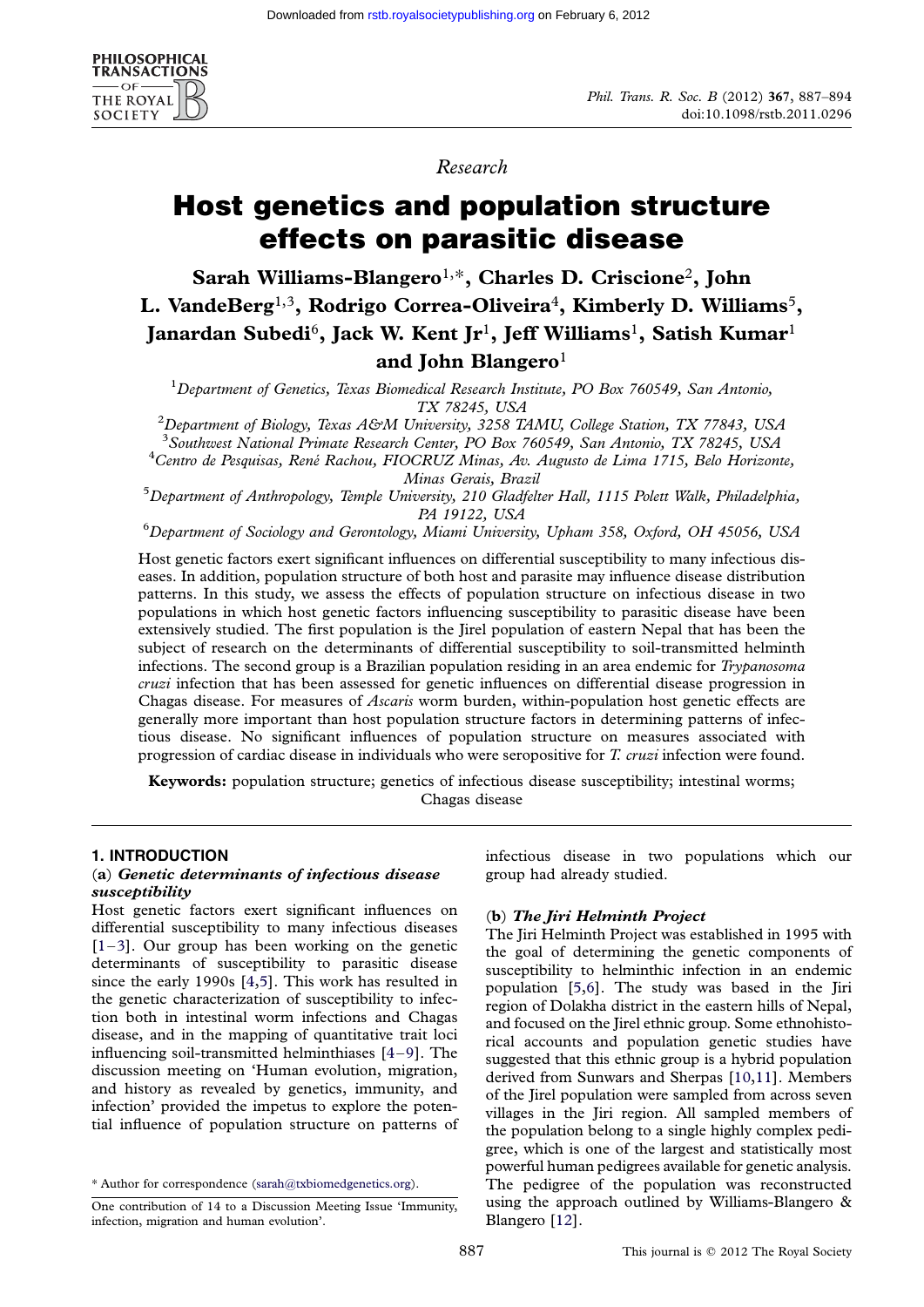

Research

# Host genetics and population structure effects on parasitic disease

Sarah Williams-Blangero<sup>1,\*</sup>, Charles D. Criscione<sup>2</sup>, John L. Vande $\mathrm{Berg^{1,3},}$  Rodrigo Correa-Oliveira $^4$ , Kimberly D. Williams $^5$ , Janardan Subedi<sup>6</sup>, Jack W. Kent Jr<sup>1</sup>, Jeff Williams<sup>1</sup>, Satish Kumar<sup>1</sup> and John Blangero<sup>1</sup>

<sup>1</sup>Department of Genetics, Texas Biomedical Research Institute, PO Box 760549, San Antonio,

TX 78245, USA<br><sup>2</sup>Department of Biology, Texas A&M University, 3258 TAMU, College Station, TX 77843, USA

<sup>3</sup>Southwest National Primate Research Center, PO Box 760549, San Antonio, TX 78245, USA<br><sup>4</sup>Centre de Pesquisas, Pené Bashou, EIOCPUZ Minas, 4r. Augusto de Linea 1715, Belo Horizon

<sup>4</sup> Centro de Pesquisas, René Rachou, FIOCRUZ Minas, Av. Augusto de Lima 1715, Belo Horizonte,

Minas Gerais, Brazil<br><sup>5</sup>Department of Anthropology, Temple University, 210 Gladfelter Hall, 1115 Polett Walk, Philadelphia, PA 19122, USA

6 Department of Sociology and Gerontology, Miami University, Upham 358, Oxford, OH 45056, USA

Host genetic factors exert significant influences on differential susceptibility to many infectious diseases. In addition, population structure of both host and parasite may influence disease distribution patterns. In this study, we assess the effects of population structure on infectious disease in two populations in which host genetic factors influencing susceptibility to parasitic disease have been extensively studied. The first population is the Jirel population of eastern Nepal that has been the subject of research on the determinants of differential susceptibility to soil-transmitted helminth infections. The second group is a Brazilian population residing in an area endemic for Trypanosoma cruzi infection that has been assessed for genetic influences on differential disease progression in Chagas disease. For measures of Ascaris worm burden, within-population host genetic effects are generally more important than host population structure factors in determining patterns of infectious disease. No significant influences of population structure on measures associated with progression of cardiac disease in individuals who were seropositive for T. cruzi infection were found.

Keywords: population structure; genetics of infectious disease susceptibility; intestinal worms; Chagas disease

## 1. INTRODUCTION

## (a) Genetic determinants of infectious disease susceptibility

Host genetic factors exert significant influences on differential susceptibility to many infectious diseases  $[1-3]$  $[1-3]$  $[1-3]$  $[1-3]$ . Our group has been working on the genetic determinants of susceptibility to parasitic disease since the early 1990s [[4,5\]](#page-7-0). This work has resulted in the genetic characterization of susceptibility to infection both in intestinal worm infections and Chagas disease, and in the mapping of quantitative trait loci influencing soil-transmitted helminthiases [[4](#page-7-0)–[9](#page-7-0)]. The discussion meeting on 'Human evolution, migration, and history as revealed by genetics, immunity, and infection' provided the impetus to explore the potential influence of population structure on patterns of

\* Author for correspondence [\(sarah@txbiomedgenetics.org\)](mailto:sarah@txbiomedgenetics.org).

infectious disease in two populations which our group had already studied.

# (b) The Jiri Helminth Project

The Jiri Helminth Project was established in 1995 with the goal of determining the genetic components of susceptibility to helminthic infection in an endemic population [\[5,6](#page-7-0)]. The study was based in the Jiri region of Dolakha district in the eastern hills of Nepal, and focused on the Jirel ethnic group. Some ethnohistorical accounts and population genetic studies have suggested that this ethnic group is a hybrid population derived from Sunwars and Sherpas [\[10,11\]](#page-7-0). Members of the Jirel population were sampled from across seven villages in the Jiri region. All sampled members of the population belong to a single highly complex pedigree, which is one of the largest and statistically most powerful human pedigrees available for genetic analysis. The pedigree of the population was reconstructed using the approach outlined by Williams-Blangero & Blangero [\[12\]](#page-7-0).

One contribution of 14 to a Discussion Meeting Issue 'Immunity, infection, migration and human evolution'.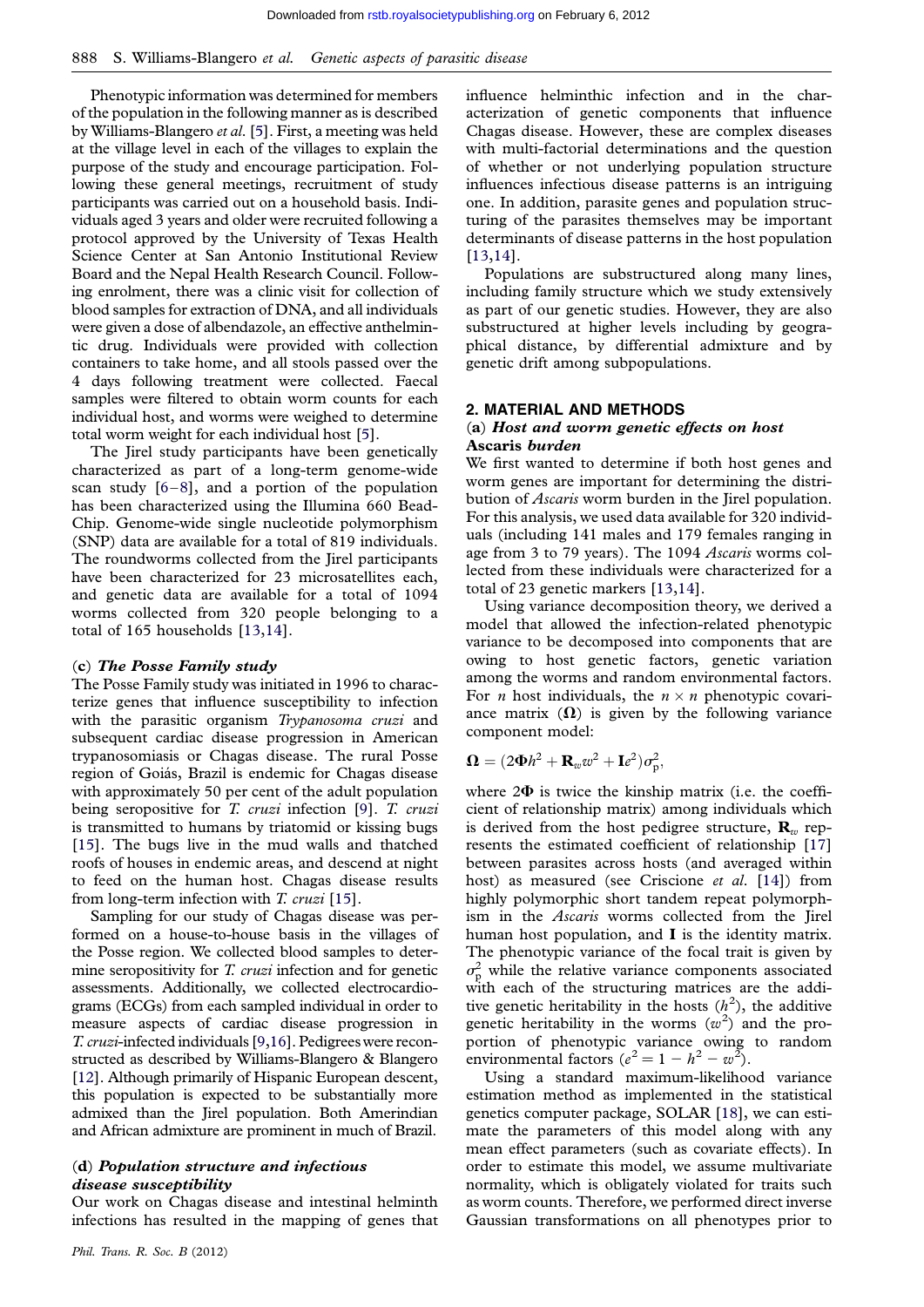Phenotypic information was determined for members of the population in the following manner as is described by Williams-Blangero et al. [\[5\]](#page-7-0). First, a meeting was held at the village level in each of the villages to explain the purpose of the study and encourage participation. Following these general meetings, recruitment of study participants was carried out on a household basis. Individuals aged 3 years and older were recruited following a protocol approved by the University of Texas Health Science Center at San Antonio Institutional Review Board and the Nepal Health Research Council. Following enrolment, there was a clinic visit for collection of blood samples for extraction of DNA, and all individuals were given a dose of albendazole, an effective anthelmintic drug. Individuals were provided with collection containers to take home, and all stools passed over the 4 days following treatment were collected. Faecal samples were filtered to obtain worm counts for each individual host, and worms were weighed to determine total worm weight for each individual host [[5](#page-7-0)].

The Jirel study participants have been genetically characterized as part of a long-term genome-wide scan study  $[6-8]$  $[6-8]$  $[6-8]$  $[6-8]$ , and a portion of the population has been characterized using the Illumina 660 Bead-Chip. Genome-wide single nucleotide polymorphism (SNP) data are available for a total of 819 individuals. The roundworms collected from the Jirel participants have been characterized for 23 microsatellites each, and genetic data are available for a total of 1094 worms collected from 320 people belonging to a total of 165 households [[13](#page-7-0),[14](#page-7-0)].

#### (c) The Posse Family study

The Posse Family study was initiated in 1996 to characterize genes that influence susceptibility to infection with the parasitic organism Trypanosoma cruzi and subsequent cardiac disease progression in American trypanosomiasis or Chagas disease. The rural Posse region of Goiás, Brazil is endemic for Chagas disease with approximately 50 per cent of the adult population being seropositive for T. cruzi infection [[9](#page-7-0)]. T. cruzi is transmitted to humans by triatomid or kissing bugs [\[15\]](#page-7-0). The bugs live in the mud walls and thatched roofs of houses in endemic areas, and descend at night to feed on the human host. Chagas disease results from long-term infection with T. cruzi [[15\]](#page-7-0).

Sampling for our study of Chagas disease was performed on a house-to-house basis in the villages of the Posse region. We collected blood samples to determine seropositivity for T. cruzi infection and for genetic assessments. Additionally, we collected electrocardiograms (ECGs) from each sampled individual in order to measure aspects of cardiac disease progression in T. cruzi-infected individuals [[9](#page-7-0),[16\]](#page-7-0). Pedigrees were reconstructed as described by Williams-Blangero & Blangero [\[12\]](#page-7-0). Although primarily of Hispanic European descent, this population is expected to be substantially more admixed than the Jirel population. Both Amerindian and African admixture are prominent in much of Brazil.

### (d) Population structure and infectious disease susceptibility

Our work on Chagas disease and intestinal helminth infections has resulted in the mapping of genes that influence helminthic infection and in the characterization of genetic components that influence Chagas disease. However, these are complex diseases with multi-factorial determinations and the question of whether or not underlying population structure influences infectious disease patterns is an intriguing one. In addition, parasite genes and population structuring of the parasites themselves may be important determinants of disease patterns in the host population [\[13,14](#page-7-0)].

Populations are substructured along many lines, including family structure which we study extensively as part of our genetic studies. However, they are also substructured at higher levels including by geographical distance, by differential admixture and by genetic drift among subpopulations.

#### 2. MATERIAL AND METHODS

### (a) Host and worm genetic effects on host Ascaris burden

We first wanted to determine if both host genes and worm genes are important for determining the distribution of Ascaris worm burden in the Jirel population. For this analysis, we used data available for 320 individuals (including 141 males and 179 females ranging in age from 3 to 79 years). The 1094 Ascaris worms collected from these individuals were characterized for a total of 23 genetic markers [[13,14\]](#page-7-0).

Using variance decomposition theory, we derived a model that allowed the infection-related phenotypic variance to be decomposed into components that are owing to host genetic factors, genetic variation among the worms and random environmental factors. For *n* host individuals, the  $n \times n$  phenotypic covariance matrix  $(\Omega)$  is given by the following variance component model:

$$
\Omega = (2\Phi h^2 + \mathbf{R}_w w^2 + \mathbf{I} e^2) \sigma_p^2,
$$

where  $2\Phi$  is twice the kinship matrix (i.e. the coefficient of relationship matrix) among individuals which is derived from the host pedigree structure,  $\mathbf{R}_{m}$  represents the estimated coefficient of relationship [\[17\]](#page-7-0) between parasites across hosts (and averaged within host) as measured (see Criscione et al. [\[14](#page-7-0)]) from highly polymorphic short tandem repeat polymorphism in the Ascaris worms collected from the Jirel human host population, and I is the identity matrix. The phenotypic variance of the focal trait is given by  $\sigma_{\rm p}^2$  while the relative variance components associated with each of the structuring matrices are the additive genetic heritability in the hosts  $(h^2)$ , the additive genetic heritability in the worms  $(w^2)$  and the proportion of phenotypic variance owing to random environmental factors  $(e^2 = 1 - h^2 - w^2)$ .

Using a standard maximum-likelihood variance estimation method as implemented in the statistical genetics computer package, SOLAR [[18\]](#page-8-0), we can estimate the parameters of this model along with any mean effect parameters (such as covariate effects). In order to estimate this model, we assume multivariate normality, which is obligately violated for traits such as worm counts. Therefore, we performed direct inverse Gaussian transformations on all phenotypes prior to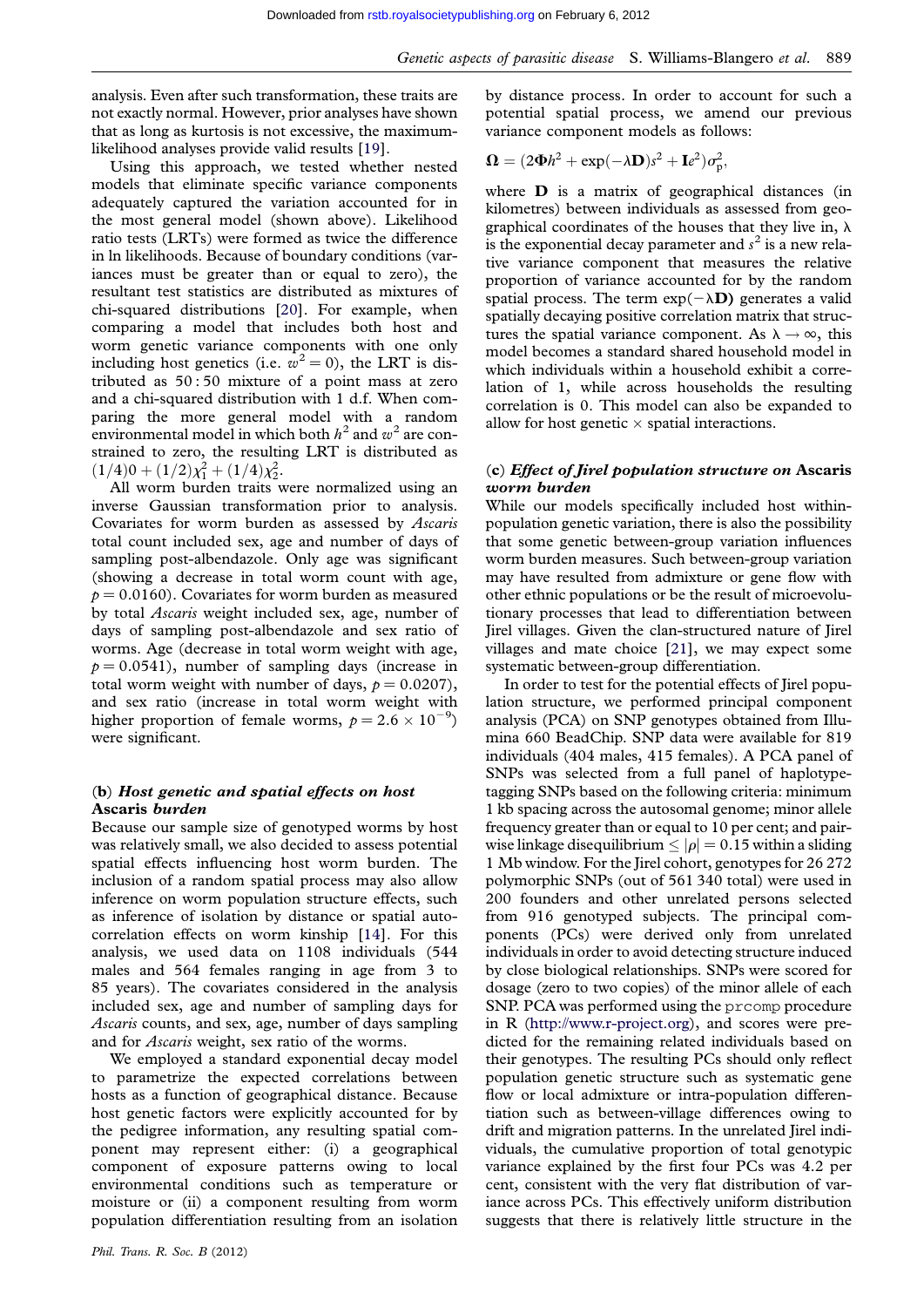analysis. Even after such transformation, these traits are not exactly normal. However, prior analyses have shown that as long as kurtosis is not excessive, the maximumlikelihood analyses provide valid results [\[19](#page-8-0)].

Using this approach, we tested whether nested models that eliminate specific variance components adequately captured the variation accounted for in the most general model (shown above). Likelihood ratio tests (LRTs) were formed as twice the difference in ln likelihoods. Because of boundary conditions (variances must be greater than or equal to zero), the resultant test statistics are distributed as mixtures of chi-squared distributions [[20\]](#page-8-0). For example, when comparing a model that includes both host and worm genetic variance components with one only including host genetics (i.e.  $w^2 = 0$ ), the LRT is distributed as 50 : 50 mixture of a point mass at zero and a chi-squared distribution with 1 d.f. When comparing the more general model with a random environmental model in which both  $h^2$  and  $w^2$  are constrained to zero, the resulting LRT is distributed as  $(1/4)0 + (1/2)\chi_1^2 + (1/4)\chi_2^2$ .

All worm burden traits were normalized using an inverse Gaussian transformation prior to analysis. Covariates for worm burden as assessed by Ascaris total count included sex, age and number of days of sampling post-albendazole. Only age was significant (showing a decrease in total worm count with age,  $p = 0.0160$ . Covariates for worm burden as measured by total Ascaris weight included sex, age, number of days of sampling post-albendazole and sex ratio of worms. Age (decrease in total worm weight with age,  $p = 0.0541$ , number of sampling days (increase in total worm weight with number of days,  $p = 0.0207$ ), and sex ratio (increase in total worm weight with higher proportion of female worms,  $p = 2.6 \times 10^{-9}$ ) were significant.

# (b) Host genetic and spatial effects on host Ascaris burden

Because our sample size of genotyped worms by host was relatively small, we also decided to assess potential spatial effects influencing host worm burden. The inclusion of a random spatial process may also allow inference on worm population structure effects, such as inference of isolation by distance or spatial autocorrelation effects on worm kinship [\[14](#page-7-0)]. For this analysis, we used data on 1108 individuals (544 males and 564 females ranging in age from 3 to 85 years). The covariates considered in the analysis included sex, age and number of sampling days for Ascaris counts, and sex, age, number of days sampling and for Ascaris weight, sex ratio of the worms.

We employed a standard exponential decay model to parametrize the expected correlations between hosts as a function of geographical distance. Because host genetic factors were explicitly accounted for by the pedigree information, any resulting spatial component may represent either: (i) a geographical component of exposure patterns owing to local environmental conditions such as temperature or moisture or (ii) a component resulting from worm population differentiation resulting from an isolation by distance process. In order to account for such a potential spatial process, we amend our previous variance component models as follows:

$$
\mathbf{\Omega} = (2\Phi h^2 + \exp(-\lambda \mathbf{D})s^2 + \mathbf{I}e^2)\sigma_p^2,
$$

where **D** is a matrix of geographical distances (in kilometres) between individuals as assessed from geographical coordinates of the houses that they live in,  $\lambda$ is the exponential decay parameter and  $s^2$  is a new relative variance component that measures the relative proportion of variance accounted for by the random spatial process. The term  $exp(-\lambda \mathbf{D})$  generates a valid spatially decaying positive correlation matrix that structures the spatial variance component. As  $\lambda \rightarrow \infty$ , this model becomes a standard shared household model in which individuals within a household exhibit a correlation of 1, while across households the resulting correlation is 0. This model can also be expanded to allow for host genetic  $\times$  spatial interactions.

# (c) Effect of Jirel population structure on Ascaris worm burden

While our models specifically included host withinpopulation genetic variation, there is also the possibility that some genetic between-group variation influences worm burden measures. Such between-group variation may have resulted from admixture or gene flow with other ethnic populations or be the result of microevolutionary processes that lead to differentiation between Jirel villages. Given the clan-structured nature of Jirel villages and mate choice [\[21](#page-8-0)], we may expect some systematic between-group differentiation.

In order to test for the potential effects of Jirel population structure, we performed principal component analysis (PCA) on SNP genotypes obtained from Illumina 660 BeadChip. SNP data were available for 819 individuals (404 males, 415 females). A PCA panel of SNPs was selected from a full panel of haplotypetagging SNPs based on the following criteria: minimum 1 kb spacing across the autosomal genome; minor allele frequency greater than or equal to 10 per cent; and pairwise linkage disequilibrium  $\leq |\rho| = 0.15$  within a sliding 1 Mb window. For the Jirel cohort, genotypes for 26 272 polymorphic SNPs (out of 561 340 total) were used in 200 founders and other unrelated persons selected from 916 genotyped subjects. The principal components (PCs) were derived only from unrelated individuals in order to avoid detecting structure induced by close biological relationships. SNPs were scored for dosage (zero to two copies) of the minor allele of each SNP. PCA was performed using the prcomp procedure in R (<http://www.r-project.org>), and scores were predicted for the remaining related individuals based on their genotypes. The resulting PCs should only reflect population genetic structure such as systematic gene flow or local admixture or intra-population differentiation such as between-village differences owing to drift and migration patterns. In the unrelated Jirel individuals, the cumulative proportion of total genotypic variance explained by the first four PCs was 4.2 per cent, consistent with the very flat distribution of variance across PCs. This effectively uniform distribution suggests that there is relatively little structure in the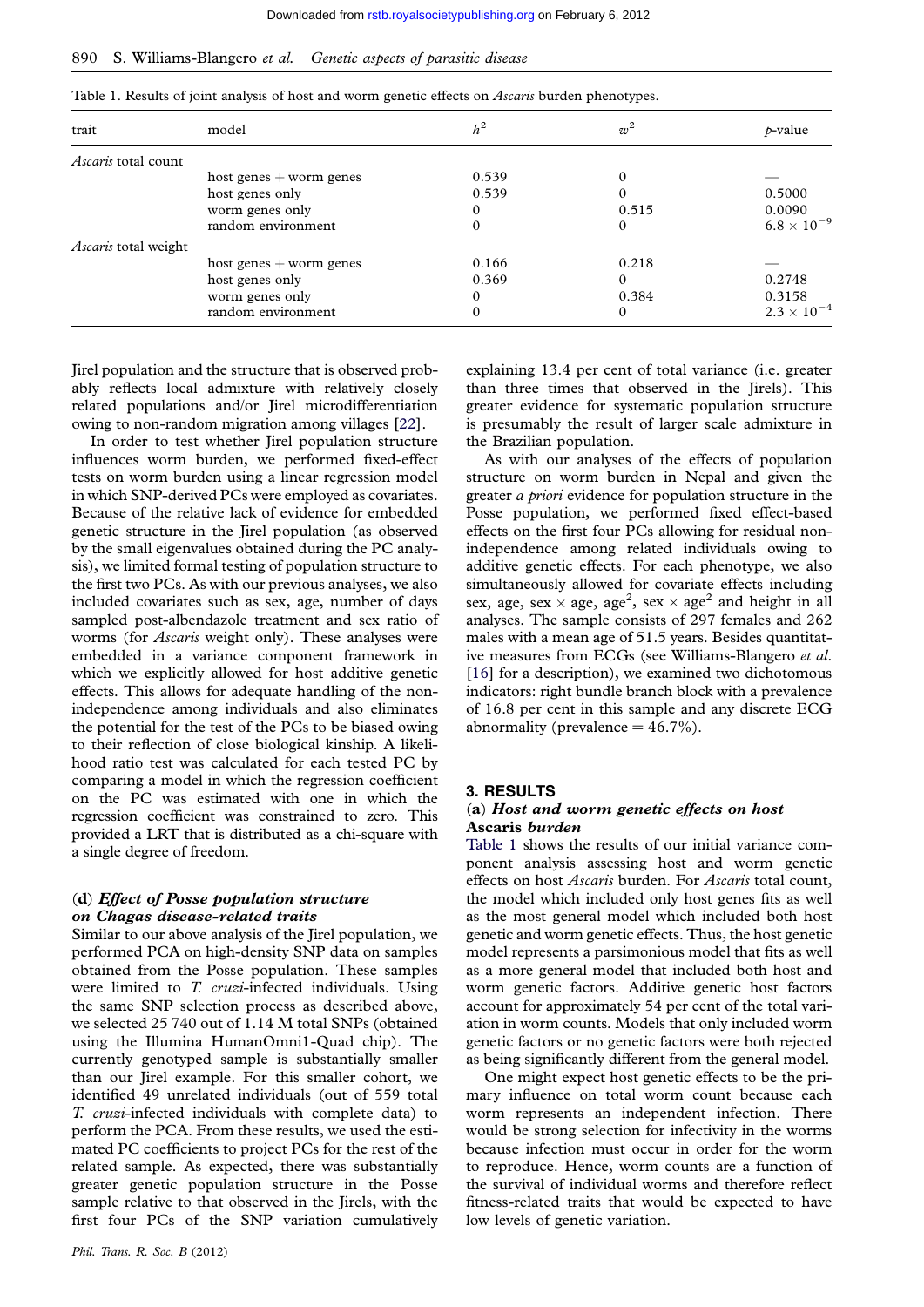| trait                       | model                     | h <sup>2</sup> | $w^2$    | $p$ -value           |
|-----------------------------|---------------------------|----------------|----------|----------------------|
| <i>Ascaris</i> total count  |                           |                |          |                      |
|                             | host genes $+$ worm genes | 0.539          | 0        |                      |
|                             | host genes only           | 0.539          |          | 0.5000               |
|                             | worm genes only           |                | 0.515    | 0.0090               |
|                             | random environment        |                | 0        | $6.8 \times 10^{-9}$ |
| <i>Ascaris</i> total weight |                           |                |          |                      |
|                             | host genes $+$ worm genes | 0.166          | 0.218    |                      |
|                             | host genes only           | 0.369          | 0        | 0.2748               |
|                             | worm genes only           |                | 0.384    | 0.3158               |
|                             | random environment        |                | $\Omega$ | $2.3 \times 10^{-4}$ |

Table 1. Results of joint analysis of host and worm genetic effects on *Ascaris* burden phenotypes.

Jirel population and the structure that is observed probably reflects local admixture with relatively closely related populations and/or Jirel microdifferentiation owing to non-random migration among villages [\[22](#page-8-0)].

In order to test whether Jirel population structure influences worm burden, we performed fixed-effect tests on worm burden using a linear regression model in which SNP-derived PCs were employed as covariates. Because of the relative lack of evidence for embedded genetic structure in the Jirel population (as observed by the small eigenvalues obtained during the PC analysis), we limited formal testing of population structure to the first two PCs. As with our previous analyses, we also included covariates such as sex, age, number of days sampled post-albendazole treatment and sex ratio of worms (for *Ascaris* weight only). These analyses were embedded in a variance component framework in which we explicitly allowed for host additive genetic effects. This allows for adequate handling of the nonindependence among individuals and also eliminates the potential for the test of the PCs to be biased owing to their reflection of close biological kinship. A likelihood ratio test was calculated for each tested PC by comparing a model in which the regression coefficient on the PC was estimated with one in which the regression coefficient was constrained to zero. This provided a LRT that is distributed as a chi-square with a single degree of freedom.

## (d) Effect of Posse population structure on Chagas disease-related traits

Similar to our above analysis of the Jirel population, we performed PCA on high-density SNP data on samples obtained from the Posse population. These samples were limited to *T. cruzi*-infected individuals. Using the same SNP selection process as described above, we selected 25 740 out of 1.14 M total SNPs (obtained using the Illumina HumanOmni1-Quad chip). The currently genotyped sample is substantially smaller than our Jirel example. For this smaller cohort, we identified 49 unrelated individuals (out of 559 total T. cruzi-infected individuals with complete data) to perform the PCA. From these results, we used the estimated PC coefficients to project PCs for the rest of the related sample. As expected, there was substantially greater genetic population structure in the Posse sample relative to that observed in the Jirels, with the first four PCs of the SNP variation cumulatively

explaining 13.4 per cent of total variance (i.e. greater than three times that observed in the Jirels). This greater evidence for systematic population structure is presumably the result of larger scale admixture in the Brazilian population.

As with our analyses of the effects of population structure on worm burden in Nepal and given the greater a priori evidence for population structure in the Posse population, we performed fixed effect-based effects on the first four PCs allowing for residual nonindependence among related individuals owing to additive genetic effects. For each phenotype, we also simultaneously allowed for covariate effects including sex, age, sex  $\times$  age, age<sup>2</sup>, sex  $\times$  age<sup>2</sup> and height in all analyses. The sample consists of 297 females and 262 males with a mean age of 51.5 years. Besides quantitative measures from ECGs (see Williams-Blangero et al. [\[16\]](#page-7-0) for a description), we examined two dichotomous indicators: right bundle branch block with a prevalence of 16.8 per cent in this sample and any discrete ECG abnormality (prevalence  $= 46.7\%$ ).

# 3. RESULTS

#### (a) Host and worm genetic effects on host Ascaris burden

Table 1 shows the results of our initial variance component analysis assessing host and worm genetic effects on host Ascaris burden. For Ascaris total count, the model which included only host genes fits as well as the most general model which included both host genetic and worm genetic effects. Thus, the host genetic model represents a parsimonious model that fits as well as a more general model that included both host and worm genetic factors. Additive genetic host factors account for approximately 54 per cent of the total variation in worm counts. Models that only included worm genetic factors or no genetic factors were both rejected as being significantly different from the general model.

One might expect host genetic effects to be the primary influence on total worm count because each worm represents an independent infection. There would be strong selection for infectivity in the worms because infection must occur in order for the worm to reproduce. Hence, worm counts are a function of the survival of individual worms and therefore reflect fitness-related traits that would be expected to have low levels of genetic variation.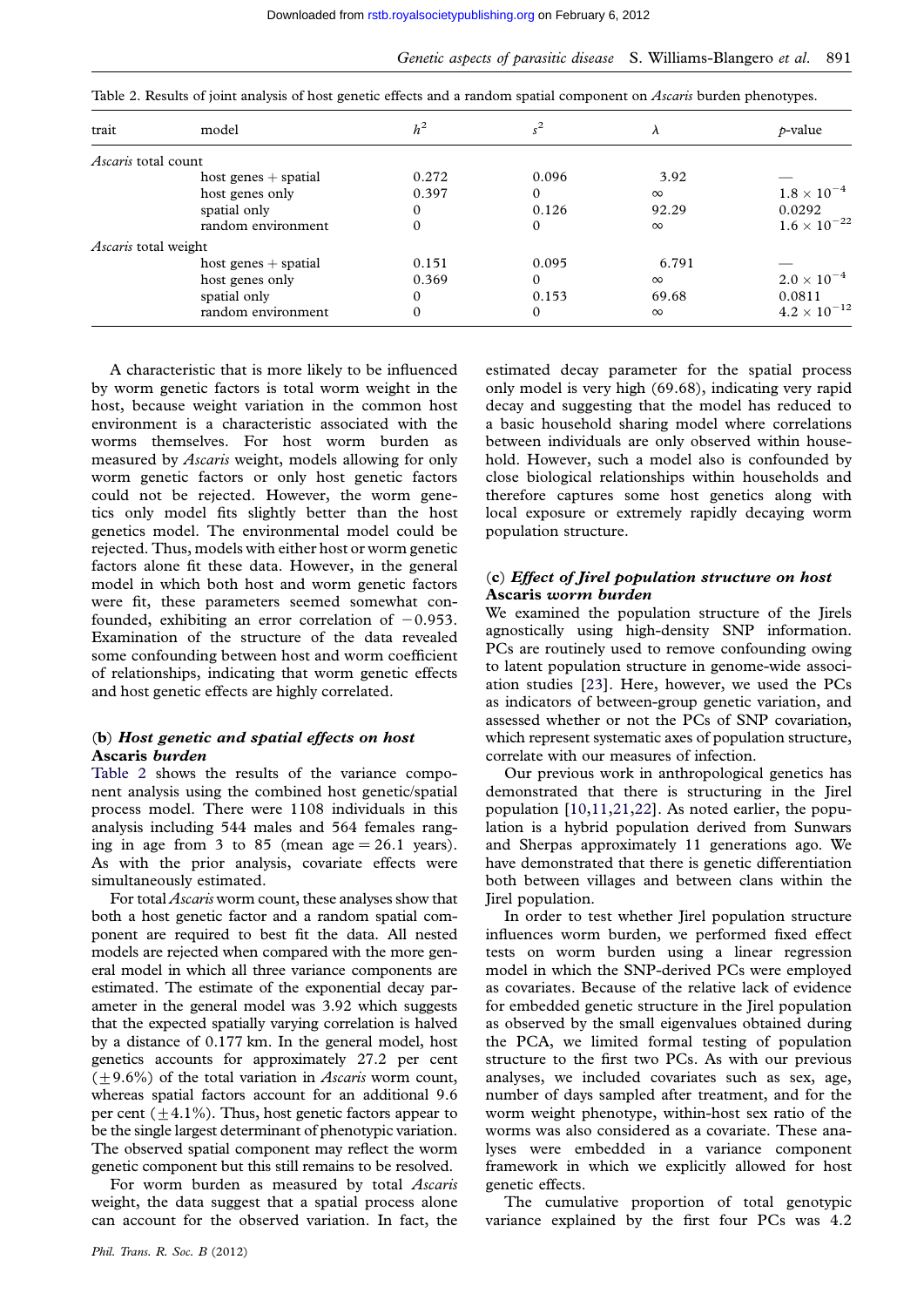| trait                      | model                  | $h^2$    |          | $\Lambda$ | $p$ -value            |
|----------------------------|------------------------|----------|----------|-----------|-----------------------|
| <i>Ascaris</i> total count |                        |          |          |           |                       |
|                            | host genes $+$ spatial | 0.272    | 0.096    | 3.92      |                       |
|                            | host genes only        | 0.397    | $\Omega$ | $\infty$  | $1.8\times10^{-4}$    |
|                            | spatial only           | 0        | 0.126    | 92.29     | 0.0292                |
|                            | random environment     | 0        | 0        | $\infty$  | $1.6 \times 10^{-22}$ |
| Ascaris total weight       |                        |          |          |           |                       |
|                            | host genes $+$ spatial | 0.151    | 0.095    | 6.791     |                       |
|                            | host genes only        | 0.369    | $\Omega$ | $\infty$  | $2.0 \times 10^{-4}$  |
|                            | spatial only           | $\Omega$ | 0.153    | 69.68     | 0.0811                |
|                            | random environment     | 0        | 0        | $\infty$  | $4.2\times10^{-12}$   |

Table 2. Results of joint analysis of host genetic effects and a random spatial component on Ascaris burden phenotypes.

A characteristic that is more likely to be influenced by worm genetic factors is total worm weight in the host, because weight variation in the common host environment is a characteristic associated with the worms themselves. For host worm burden as measured by *Ascaris* weight, models allowing for only worm genetic factors or only host genetic factors could not be rejected. However, the worm genetics only model fits slightly better than the host genetics model. The environmental model could be rejected. Thus, models with either host or worm genetic factors alone fit these data. However, in the general model in which both host and worm genetic factors were fit, these parameters seemed somewhat confounded, exhibiting an error correlation of  $-0.953$ . Examination of the structure of the data revealed some confounding between host and worm coefficient of relationships, indicating that worm genetic effects and host genetic effects are highly correlated.

## (b) Host genetic and spatial effects on host Ascaris burden

Table 2 shows the results of the variance component analysis using the combined host genetic/spatial process model. There were 1108 individuals in this analysis including 544 males and 564 females ranging in age from 3 to 85 (mean age  $= 26.1$  years). As with the prior analysis, covariate effects were simultaneously estimated.

For total Ascaris worm count, these analyses show that both a host genetic factor and a random spatial component are required to best fit the data. All nested models are rejected when compared with the more general model in which all three variance components are estimated. The estimate of the exponential decay parameter in the general model was 3.92 which suggests that the expected spatially varying correlation is halved by a distance of 0.177 km. In the general model, host genetics accounts for approximately 27.2 per cent  $(\pm 9.6\%)$  of the total variation in Ascaris worm count, whereas spatial factors account for an additional 9.6 per cent  $(\pm 4.1\%)$ . Thus, host genetic factors appear to be the single largest determinant of phenotypic variation. The observed spatial component may reflect the worm genetic component but this still remains to be resolved.

For worm burden as measured by total Ascaris weight, the data suggest that a spatial process alone can account for the observed variation. In fact, the

estimated decay parameter for the spatial process only model is very high (69.68), indicating very rapid decay and suggesting that the model has reduced to a basic household sharing model where correlations between individuals are only observed within household. However, such a model also is confounded by close biological relationships within households and therefore captures some host genetics along with local exposure or extremely rapidly decaying worm population structure.

# (c) Effect of Jirel population structure on host Ascaris worm burden

We examined the population structure of the Jirels agnostically using high-density SNP information. PCs are routinely used to remove confounding owing to latent population structure in genome-wide association studies [[23\]](#page-8-0). Here, however, we used the PCs as indicators of between-group genetic variation, and assessed whether or not the PCs of SNP covariation, which represent systematic axes of population structure, correlate with our measures of infection.

Our previous work in anthropological genetics has demonstrated that there is structuring in the Jirel population [\[10,11](#page-7-0),[21,22](#page-8-0)]. As noted earlier, the population is a hybrid population derived from Sunwars and Sherpas approximately 11 generations ago. We have demonstrated that there is genetic differentiation both between villages and between clans within the Jirel population.

In order to test whether Jirel population structure influences worm burden, we performed fixed effect tests on worm burden using a linear regression model in which the SNP-derived PCs were employed as covariates. Because of the relative lack of evidence for embedded genetic structure in the Jirel population as observed by the small eigenvalues obtained during the PCA, we limited formal testing of population structure to the first two PCs. As with our previous analyses, we included covariates such as sex, age, number of days sampled after treatment, and for the worm weight phenotype, within-host sex ratio of the worms was also considered as a covariate. These analyses were embedded in a variance component framework in which we explicitly allowed for host genetic effects.

The cumulative proportion of total genotypic variance explained by the first four PCs was 4.2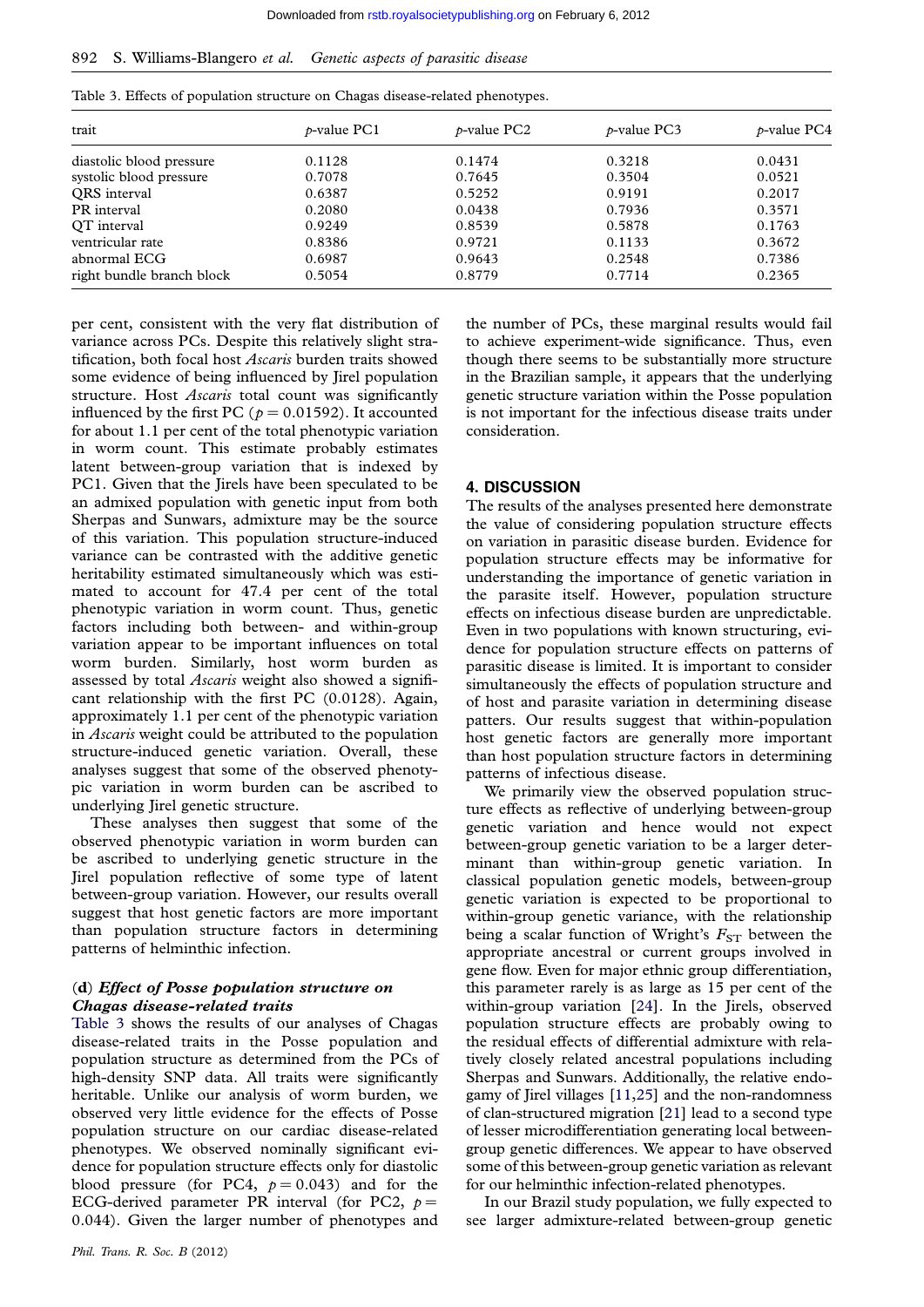| trait                     | $p$ -value PC1 | $p$ -value PC2 | $p$ -value PC3 | $p$ -value PC4 |
|---------------------------|----------------|----------------|----------------|----------------|
| diastolic blood pressure  | 0.1128         | 0.1474         | 0.3218         | 0.0431         |
| systolic blood pressure   | 0.7078         | 0.7645         | 0.3504         | 0.0521         |
| ORS interval              | 0.6387         | 0.5252         | 0.9191         | 0.2017         |
| PR interval               | 0.2080         | 0.0438         | 0.7936         | 0.3571         |
| OT interval               | 0.9249         | 0.8539         | 0.5878         | 0.1763         |
| ventricular rate          | 0.8386         | 0.9721         | 0.1133         | 0.3672         |
| abnormal ECG              | 0.6987         | 0.9643         | 0.2548         | 0.7386         |
| right bundle branch block | 0.5054         | 0.8779         | 0.7714         | 0.2365         |

Table 3. Effects of population structure on Chagas disease-related phenotypes.

per cent, consistent with the very flat distribution of variance across PCs. Despite this relatively slight stratification, both focal host Ascaris burden traits showed some evidence of being influenced by Jirel population structure. Host *Ascaris* total count was significantly influenced by the first PC ( $p = 0.01592$ ). It accounted for about 1.1 per cent of the total phenotypic variation in worm count. This estimate probably estimates latent between-group variation that is indexed by PC1. Given that the Jirels have been speculated to be an admixed population with genetic input from both Sherpas and Sunwars, admixture may be the source of this variation. This population structure-induced variance can be contrasted with the additive genetic heritability estimated simultaneously which was estimated to account for 47.4 per cent of the total phenotypic variation in worm count. Thus, genetic factors including both between- and within-group variation appear to be important influences on total worm burden. Similarly, host worm burden as assessed by total Ascaris weight also showed a significant relationship with the first PC (0.0128). Again, approximately 1.1 per cent of the phenotypic variation in Ascaris weight could be attributed to the population structure-induced genetic variation. Overall, these analyses suggest that some of the observed phenotypic variation in worm burden can be ascribed to underlying Jirel genetic structure.

These analyses then suggest that some of the observed phenotypic variation in worm burden can be ascribed to underlying genetic structure in the Jirel population reflective of some type of latent between-group variation. However, our results overall suggest that host genetic factors are more important than population structure factors in determining patterns of helminthic infection.

### (d) Effect of Posse population structure on Chagas disease-related traits

Table 3 shows the results of our analyses of Chagas disease-related traits in the Posse population and population structure as determined from the PCs of high-density SNP data. All traits were significantly heritable. Unlike our analysis of worm burden, we observed very little evidence for the effects of Posse population structure on our cardiac disease-related phenotypes. We observed nominally significant evidence for population structure effects only for diastolic blood pressure (for PC4,  $p = 0.043$ ) and for the ECG-derived parameter PR interval (for PC2,  $p =$ 0.044). Given the larger number of phenotypes and

the number of PCs, these marginal results would fail to achieve experiment-wide significance. Thus, even though there seems to be substantially more structure in the Brazilian sample, it appears that the underlying genetic structure variation within the Posse population is not important for the infectious disease traits under consideration.

## 4. DISCUSSION

The results of the analyses presented here demonstrate the value of considering population structure effects on variation in parasitic disease burden. Evidence for population structure effects may be informative for understanding the importance of genetic variation in the parasite itself. However, population structure effects on infectious disease burden are unpredictable. Even in two populations with known structuring, evidence for population structure effects on patterns of parasitic disease is limited. It is important to consider simultaneously the effects of population structure and of host and parasite variation in determining disease patters. Our results suggest that within-population host genetic factors are generally more important than host population structure factors in determining patterns of infectious disease.

We primarily view the observed population structure effects as reflective of underlying between-group genetic variation and hence would not expect between-group genetic variation to be a larger determinant than within-group genetic variation. In classical population genetic models, between-group genetic variation is expected to be proportional to within-group genetic variance, with the relationship being a scalar function of Wright's  $F_{ST}$  between the appropriate ancestral or current groups involved in gene flow. Even for major ethnic group differentiation, this parameter rarely is as large as 15 per cent of the within-group variation [[24\]](#page-8-0). In the Jirels, observed population structure effects are probably owing to the residual effects of differential admixture with relatively closely related ancestral populations including Sherpas and Sunwars. Additionally, the relative endogamy of Jirel villages [\[11](#page-7-0)[,25](#page-8-0)] and the non-randomness of clan-structured migration [\[21](#page-8-0)] lead to a second type of lesser microdifferentiation generating local betweengroup genetic differences. We appear to have observed some of this between-group genetic variation as relevant for our helminthic infection-related phenotypes.

In our Brazil study population, we fully expected to see larger admixture-related between-group genetic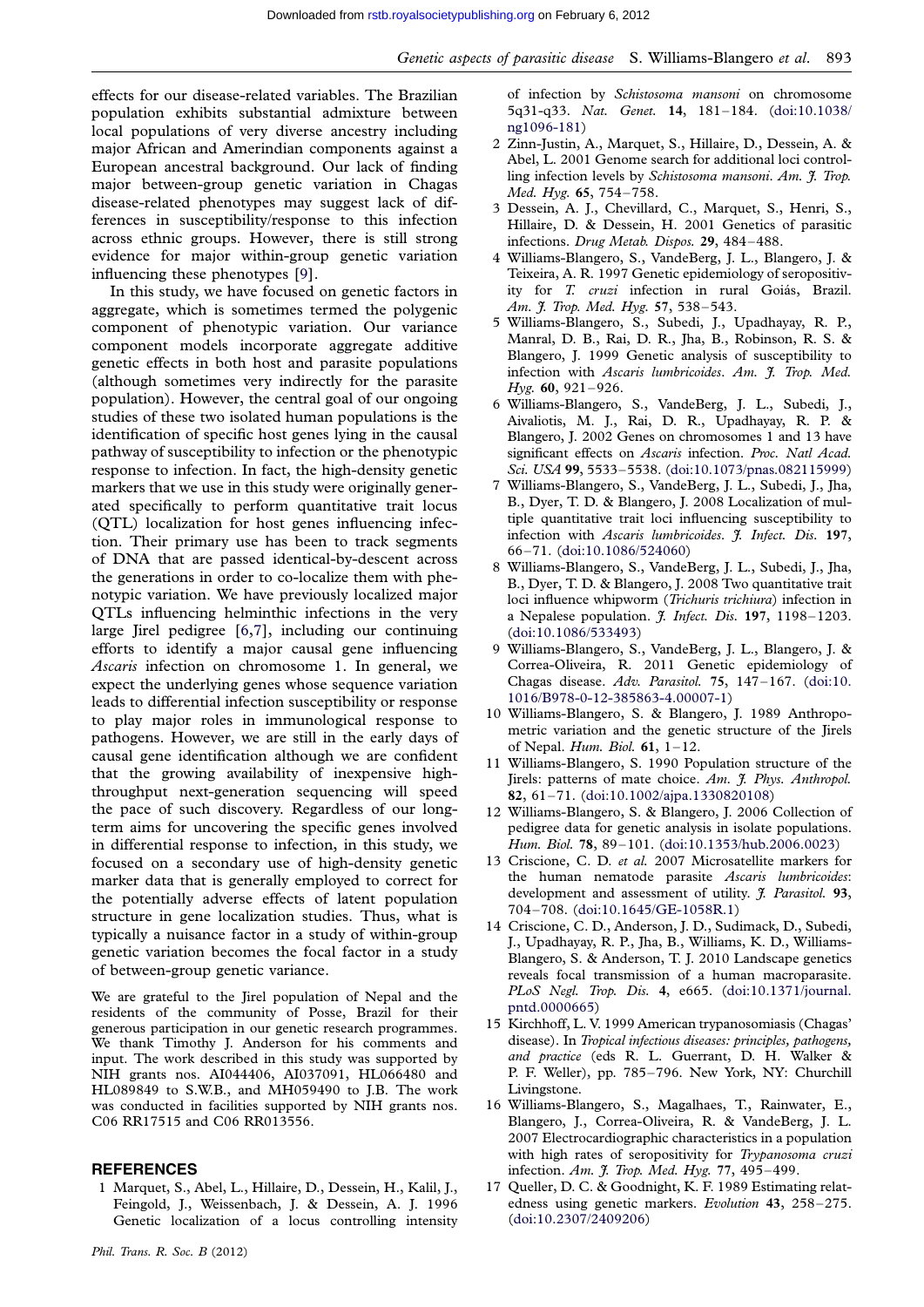<span id="page-7-0"></span>effects for our disease-related variables. The Brazilian population exhibits substantial admixture between local populations of very diverse ancestry including major African and Amerindian components against a European ancestral background. Our lack of finding major between-group genetic variation in Chagas disease-related phenotypes may suggest lack of differences in susceptibility/response to this infection across ethnic groups. However, there is still strong evidence for major within-group genetic variation influencing these phenotypes [9].

In this study, we have focused on genetic factors in aggregate, which is sometimes termed the polygenic component of phenotypic variation. Our variance component models incorporate aggregate additive genetic effects in both host and parasite populations (although sometimes very indirectly for the parasite population). However, the central goal of our ongoing studies of these two isolated human populations is the identification of specific host genes lying in the causal pathway of susceptibility to infection or the phenotypic response to infection. In fact, the high-density genetic markers that we use in this study were originally generated specifically to perform quantitative trait locus (QTL) localization for host genes influencing infection. Their primary use has been to track segments of DNA that are passed identical-by-descent across the generations in order to co-localize them with phenotypic variation. We have previously localized major QTLs influencing helminthic infections in the very large Jirel pedigree [6,7], including our continuing efforts to identify a major causal gene influencing Ascaris infection on chromosome 1. In general, we expect the underlying genes whose sequence variation leads to differential infection susceptibility or response to play major roles in immunological response to pathogens. However, we are still in the early days of causal gene identification although we are confident that the growing availability of inexpensive highthroughput next-generation sequencing will speed the pace of such discovery. Regardless of our longterm aims for uncovering the specific genes involved in differential response to infection, in this study, we focused on a secondary use of high-density genetic marker data that is generally employed to correct for the potentially adverse effects of latent population structure in gene localization studies. Thus, what is typically a nuisance factor in a study of within-group genetic variation becomes the focal factor in a study of between-group genetic variance.

We are grateful to the Jirel population of Nepal and the residents of the community of Posse, Brazil for their generous participation in our genetic research programmes. We thank Timothy J. Anderson for his comments and input. The work described in this study was supported by NIH grants nos. AI044406, AI037091, HL066480 and HL089849 to S.W.B., and MH059490 to J.B. The work was conducted in facilities supported by NIH grants nos. C06 RR17515 and C06 RR013556.

#### REFERENCES

1 Marquet, S., Abel, L., Hillaire, D., Dessein, H., Kalil, J., Feingold, J., Weissenbach, J. & Dessein, A. J. 1996 Genetic localization of a locus controlling intensity

of infection by Schistosoma mansoni on chromosome 5q31-q33. Nat. Genet. 14, 181–184. ([doi:10.1038/](http://dx.doi.org/10.1038/ng1096-181) [ng1096-181\)](http://dx.doi.org/10.1038/ng1096-181)

- 2 Zinn-Justin, A., Marquet, S., Hillaire, D., Dessein, A. & Abel, L. 2001 Genome search for additional loci controlling infection levels by Schistosoma mansoni. Am. J. Trop. Med. Hyg. 65, 754-758.
- 3 Dessein, A. J., Chevillard, C., Marquet, S., Henri, S., Hillaire, D. & Dessein, H. 2001 Genetics of parasitic infections. Drug Metab. Dispos. 29, 484 –488.
- 4 Williams-Blangero, S., VandeBerg, J. L., Blangero, J. & Teixeira, A. R. 1997 Genetic epidemiology of seropositivity for T. cruzi infection in rural Goiás, Brazil. Am. J. Trop. Med. Hyg. 57, 538-543.
- 5 Williams-Blangero, S., Subedi, J., Upadhayay, R. P., Manral, D. B., Rai, D. R., Jha, B., Robinson, R. S. & Blangero, J. 1999 Genetic analysis of susceptibility to infection with Ascaris lumbricoides. Am. J. Trop. Med. Hyg.  $60, 921 - 926$ .
- 6 Williams-Blangero, S., VandeBerg, J. L., Subedi, J., Aivaliotis, M. J., Rai, D. R., Upadhayay, R. P. & Blangero, J. 2002 Genes on chromosomes 1 and 13 have significant effects on Ascaris infection. Proc. Natl Acad. Sci. USA 99, 5533-5538. [\(doi:10.1073/pnas.082115999\)](http://dx.doi.org/10.1073/pnas.082115999)
- 7 Williams-Blangero, S., VandeBerg, J. L., Subedi, J., Jha, B., Dyer, T. D. & Blangero, J. 2008 Localization of multiple quantitative trait loci influencing susceptibility to infection with Ascaris lumbricoides. J. Infect. Dis. 197, 66–71. [\(doi:10.1086/524060\)](http://dx.doi.org/10.1086/524060)
- 8 Williams-Blangero, S., VandeBerg, J. L., Subedi, J., Jha, B., Dyer, T. D. & Blangero, J. 2008 Two quantitative trait loci influence whipworm (Trichuris trichiura) infection in a Nepalese population. *J. Infect. Dis.* 197, 1198-1203. [\(doi:10.1086/533493](http://dx.doi.org/10.1086/533493))
- 9 Williams-Blangero, S., VandeBerg, J. L., Blangero, J. & Correa-Oliveira, R. 2011 Genetic epidemiology of Chagas disease. Adv. Parasitol. 75, 147–167. [\(doi:10.](http://dx.doi.org/10.1016/B978-0-12-385863-4.00007-1) [1016/B978-0-12-385863-4.00007-1\)](http://dx.doi.org/10.1016/B978-0-12-385863-4.00007-1)
- 10 Williams-Blangero, S. & Blangero, J. 1989 Anthropometric variation and the genetic structure of the Jirels of Nepal. Hum. Biol.  $61$ ,  $1-12$ .
- 11 Williams-Blangero, S. 1990 Population structure of the Jirels: patterns of mate choice. Am. J. Phys. Anthropol. 82, 61–71. ([doi:10.1002/ajpa.1330820108\)](http://dx.doi.org/10.1002/ajpa.1330820108)
- 12 Williams-Blangero, S. & Blangero, J. 2006 Collection of pedigree data for genetic analysis in isolate populations. Hum. Biol. 78, 89–101. [\(doi:10.1353/hub.2006.0023](http://dx.doi.org/10.1353/hub.2006.0023))
- 13 Criscione, C. D. et al. 2007 Microsatellite markers for the human nematode parasite Ascaris lumbricoides: development and assessment of utility. *J. Parasitol.* 93, 704 –708. ([doi:10.1645/GE-1058R.1](http://dx.doi.org/10.1645/GE-1058R.1))
- 14 Criscione, C. D., Anderson, J. D., Sudimack, D., Subedi, J., Upadhayay, R. P., Jha, B., Williams, K. D., Williams-Blangero, S. & Anderson, T. J. 2010 Landscape genetics reveals focal transmission of a human macroparasite. PLoS Negl. Trop. Dis. 4, e665. ([doi:10.1371/journal.](http://dx.doi.org/10.1371/journal.pntd.0000665) [pntd.0000665](http://dx.doi.org/10.1371/journal.pntd.0000665))
- 15 Kirchhoff, L. V. 1999 American trypanosomiasis (Chagas' disease). In Tropical infectious diseases: principles, pathogens, and practice (eds R. L. Guerrant, D. H. Walker & P. F. Weller), pp. 785–796. New York, NY: Churchill Livingstone.
- 16 Williams-Blangero, S., Magalhaes, T., Rainwater, E., Blangero, J., Correa-Oliveira, R. & VandeBerg, J. L. 2007 Electrocardiographic characteristics in a population with high rates of seropositivity for Trypanosoma cruzi infection. Am. J. Trop. Med. Hyg. 77, 495–499.
- 17 Queller, D. C. & Goodnight, K. F. 1989 Estimating relatedness using genetic markers. Evolution 43, 258-275. ([doi:10.2307/2409206\)](http://dx.doi.org/10.2307/2409206)